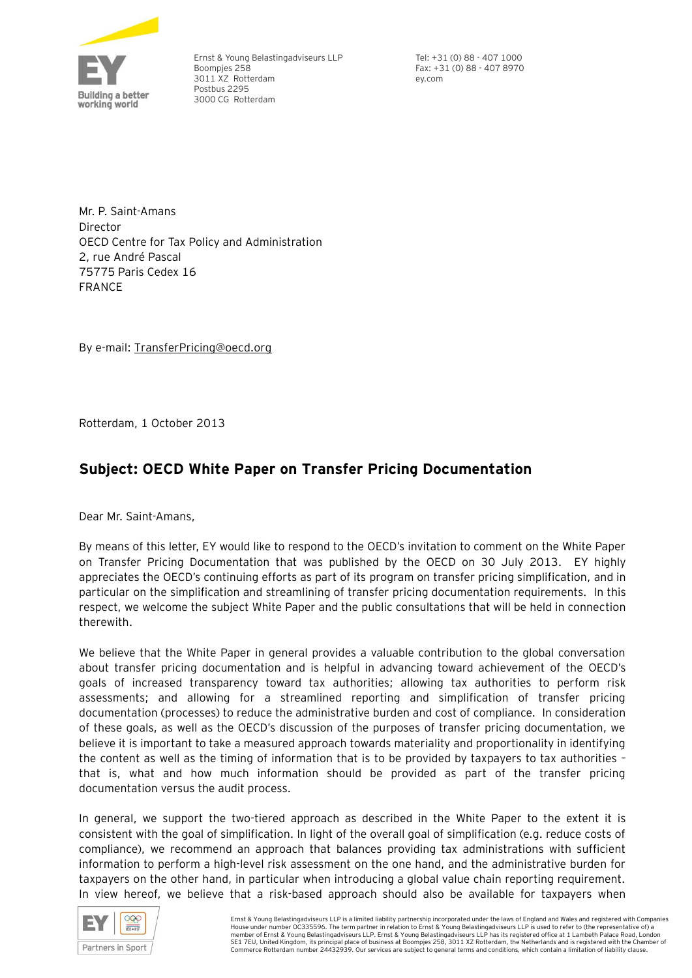

Ernst & Young Belastingadviseurs LLP Boompjes 258 3011 XZ Rotterdam Postbus 2295 3000 CG Rotterdam

Tel: +31 (0) 88 - 407 1000 Fax: +31 (0) 88 - 407 8970 ey.com

Mr. P. Saint-Amans **Director** OECD Centre for Tax Policy and Administration 2, rue André Pascal 75775 Paris Cedex 16 FRANCE

By e-mail: TransferPricing@oecd.org

Rotterdam, 1 October 2013

# **Subject: OECD White Paper on Transfer Pricing Documentation**

Dear Mr. Saint-Amans,

By means of this letter, EY would like to respond to the OECD's invitation to comment on the White Paper on Transfer Pricing Documentation that was published by the OECD on 30 July 2013. EY highly appreciates the OECD's continuing efforts as part of its program on transfer pricing simplification, and in particular on the simplification and streamlining of transfer pricing documentation requirements. In this respect, we welcome the subject White Paper and the public consultations that will be held in connection therewith.

We believe that the White Paper in general provides a valuable contribution to the global conversation about transfer pricing documentation and is helpful in advancing toward achievement of the OECD's goals of increased transparency toward tax authorities; allowing tax authorities to perform risk assessments; and allowing for a streamlined reporting and simplification of transfer pricing documentation (processes) to reduce the administrative burden and cost of compliance. In consideration of these goals, as well as the OECD's discussion of the purposes of transfer pricing documentation, we believe it is important to take a measured approach towards materiality and proportionality in identifying the content as well as the timing of information that is to be provided by taxpayers to tax authorities – that is, what and how much information should be provided as part of the transfer pricing documentation versus the audit process.

In general, we support the two-tiered approach as described in the White Paper to the extent it is consistent with the goal of simplification. In light of the overall goal of simplification (e.g. reduce costs of compliance), we recommend an approach that balances providing tax administrations with sufficient information to perform a high-level risk assessment on the one hand, and the administrative burden for taxpayers on the other hand, in particular when introducing a global value chain reporting requirement. In view hereof, we believe that a risk-based approach should also be available for taxpayers when

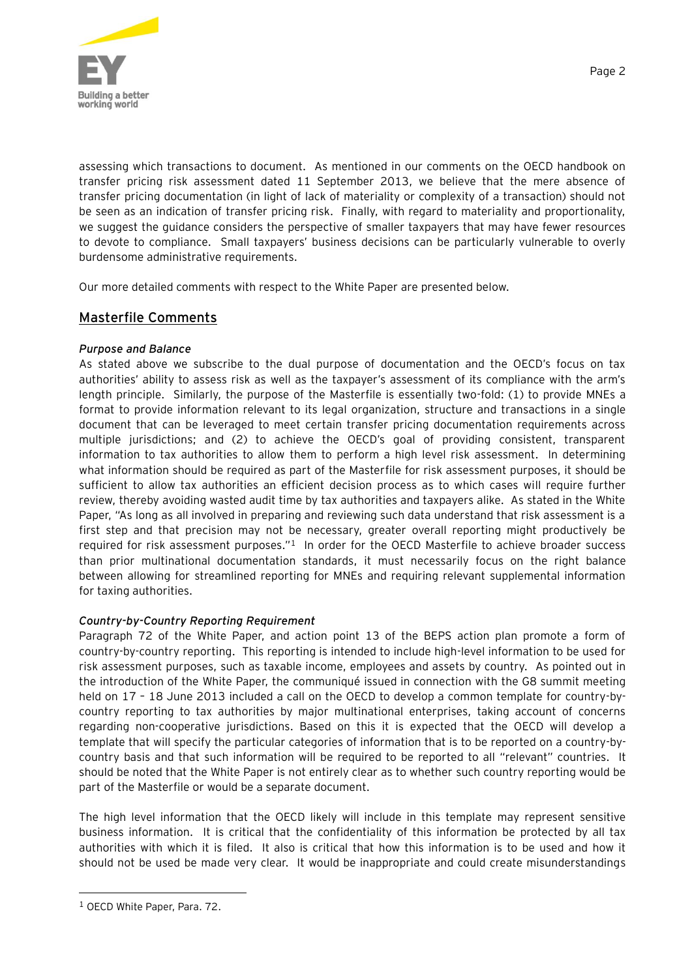

assessing which transactions to document. As mentioned in our comments on the OECD handbook on transfer pricing risk assessment dated 11 September 2013, we believe that the mere absence of transfer pricing documentation (in light of lack of materiality or complexity of a transaction) should not be seen as an indication of transfer pricing risk. Finally, with regard to materiality and proportionality, we suggest the guidance considers the perspective of smaller taxpayers that may have fewer resources to devote to compliance. Small taxpayers' business decisions can be particularly vulnerable to overly burdensome administrative requirements.

Our more detailed comments with respect to the White Paper are presented below.

## Masterfile Comments

### *Purpose and Balance*

As stated above we subscribe to the dual purpose of documentation and the OECD's focus on tax authorities' ability to assess risk as well as the taxpayer's assessment of its compliance with the arm's length principle. Similarly, the purpose of the Masterfile is essentially two-fold: (1) to provide MNEs a format to provide information relevant to its legal organization, structure and transactions in a single document that can be leveraged to meet certain transfer pricing documentation requirements across multiple jurisdictions; and (2) to achieve the OECD's goal of providing consistent, transparent information to tax authorities to allow them to perform a high level risk assessment. In determining what information should be required as part of the Masterfile for risk assessment purposes, it should be sufficient to allow tax authorities an efficient decision process as to which cases will require further review, thereby avoiding wasted audit time by tax authorities and taxpayers alike. As stated in the White Paper, "As long as all involved in preparing and reviewing such data understand that risk assessment is a first step and that precision may not be necessary, greater overall reporting might productively be required for risk assessment purposes."<sup>1</sup> In order for the OECD Masterfile to achieve broader success than prior multinational documentation standards, it must necessarily focus on the right balance between allowing for streamlined reporting for MNEs and requiring relevant supplemental information for taxing authorities.

## *Country-by-Country Reporting Requirement*

Paragraph 72 of the White Paper, and action point 13 of the BEPS action plan promote a form of country-by-country reporting. This reporting is intended to include high-level information to be used for risk assessment purposes, such as taxable income, employees and assets by country. As pointed out in the introduction of the White Paper, the communiqué issued in connection with the G8 summit meeting held on 17 - 18 June 2013 included a call on the OECD to develop a common template for country-bycountry reporting to tax authorities by major multinational enterprises, taking account of concerns regarding non-cooperative jurisdictions. Based on this it is expected that the OECD will develop a template that will specify the particular categories of information that is to be reported on a country-bycountry basis and that such information will be required to be reported to all "relevant" countries. It should be noted that the White Paper is not entirely clear as to whether such country reporting would be part of the Masterfile or would be a separate document.

The high level information that the OECD likely will include in this template may represent sensitive business information. It is critical that the confidentiality of this information be protected by all tax authorities with which it is filed. It also is critical that how this information is to be used and how it should not be used be made very clear. It would be inappropriate and could create misunderstandings

<sup>1</sup> OECD White Paper, Para. 72.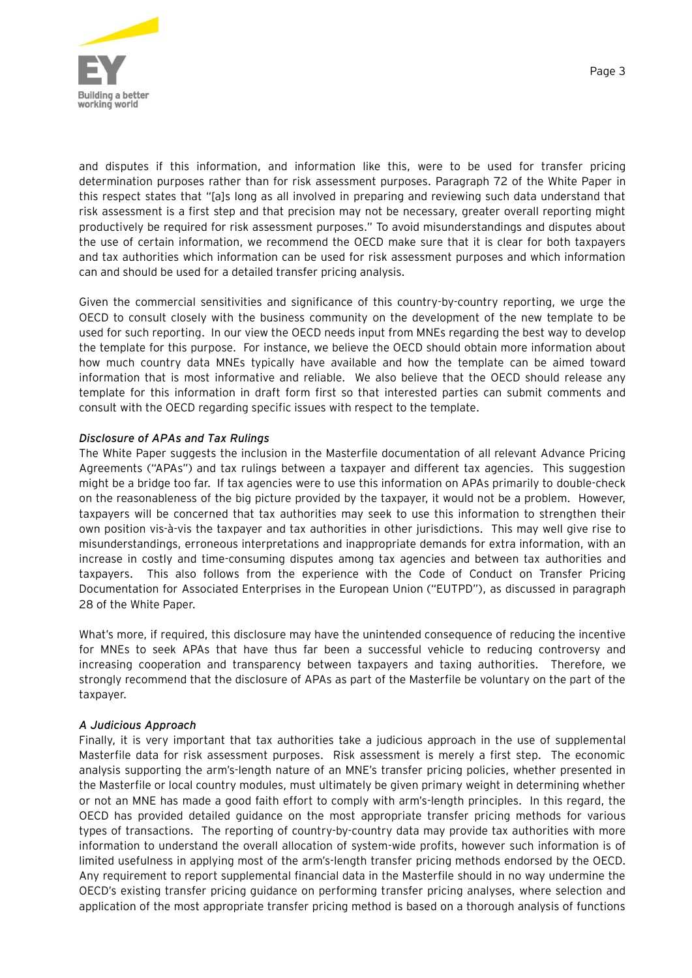

and disputes if this information, and information like this, were to be used for transfer pricing determination purposes rather than for risk assessment purposes. Paragraph 72 of the White Paper in this respect states that "[a]s long as all involved in preparing and reviewing such data understand that risk assessment is a first step and that precision may not be necessary, greater overall reporting might productively be required for risk assessment purposes." To avoid misunderstandings and disputes about the use of certain information, we recommend the OECD make sure that it is clear for both taxpayers and tax authorities which information can be used for risk assessment purposes and which information can and should be used for a detailed transfer pricing analysis.

Given the commercial sensitivities and significance of this country-by-country reporting, we urge the OECD to consult closely with the business community on the development of the new template to be used for such reporting. In our view the OECD needs input from MNEs regarding the best way to develop the template for this purpose. For instance, we believe the OECD should obtain more information about how much country data MNEs typically have available and how the template can be aimed toward information that is most informative and reliable. We also believe that the OECD should release any template for this information in draft form first so that interested parties can submit comments and consult with the OECD regarding specific issues with respect to the template.

#### *Disclosure of APAs and Tax Rulings*

The White Paper suggests the inclusion in the Masterfile documentation of all relevant Advance Pricing Agreements ("APAs") and tax rulings between a taxpayer and different tax agencies. This suggestion might be a bridge too far. If tax agencies were to use this information on APAs primarily to double-check on the reasonableness of the big picture provided by the taxpayer, it would not be a problem. However, taxpayers will be concerned that tax authorities may seek to use this information to strengthen their own position vis-à-vis the taxpayer and tax authorities in other jurisdictions. This may well give rise to misunderstandings, erroneous interpretations and inappropriate demands for extra information, with an increase in costly and time-consuming disputes among tax agencies and between tax authorities and taxpayers. This also follows from the experience with the Code of Conduct on Transfer Pricing Documentation for Associated Enterprises in the European Union ("EUTPD"), as discussed in paragraph 28 of the White Paper.

What's more, if required, this disclosure may have the unintended consequence of reducing the incentive for MNEs to seek APAs that have thus far been a successful vehicle to reducing controversy and increasing cooperation and transparency between taxpayers and taxing authorities. Therefore, we strongly recommend that the disclosure of APAs as part of the Masterfile be voluntary on the part of the taxpayer.

#### *A Judicious Approach*

Finally, it is very important that tax authorities take a judicious approach in the use of supplemental Masterfile data for risk assessment purposes. Risk assessment is merely a first step. The economic analysis supporting the arm's-length nature of an MNE's transfer pricing policies, whether presented in the Masterfile or local country modules, must ultimately be given primary weight in determining whether or not an MNE has made a good faith effort to comply with arm's-length principles. In this regard, the OECD has provided detailed guidance on the most appropriate transfer pricing methods for various types of transactions. The reporting of country-by-country data may provide tax authorities with more information to understand the overall allocation of system-wide profits, however such information is of limited usefulness in applying most of the arm's-length transfer pricing methods endorsed by the OECD. Any requirement to report supplemental financial data in the Masterfile should in no way undermine the OECD's existing transfer pricing guidance on performing transfer pricing analyses, where selection and application of the most appropriate transfer pricing method is based on a thorough analysis of functions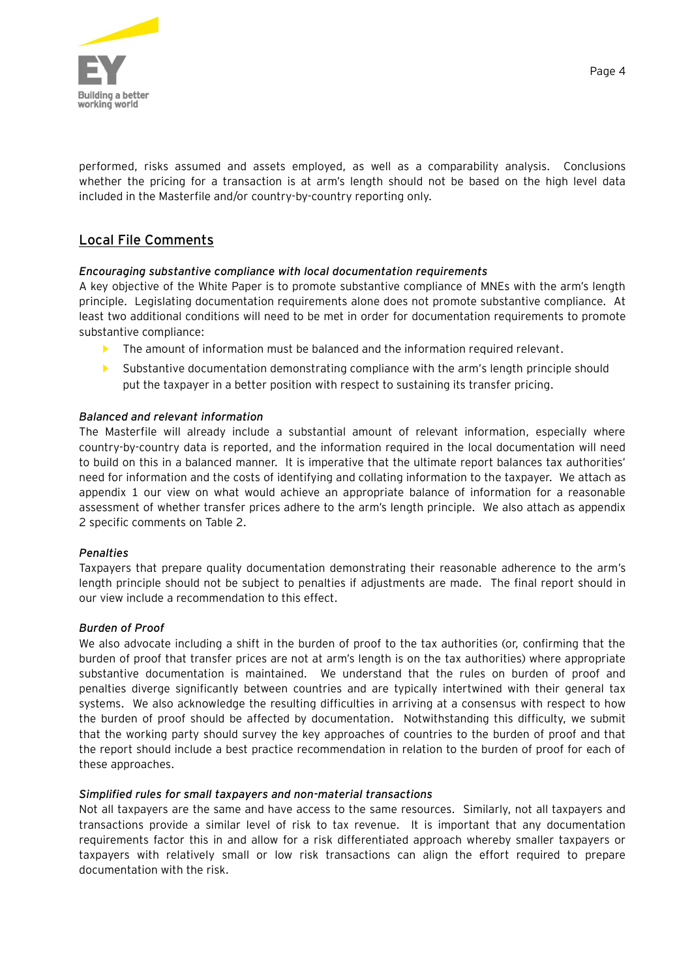

performed, risks assumed and assets employed, as well as a comparability analysis. Conclusions whether the pricing for a transaction is at arm's length should not be based on the high level data included in the Masterfile and/or country-by-country reporting only.

## Local File Comments

#### *Encouraging substantive compliance with local documentation requirements*

A key objective of the White Paper is to promote substantive compliance of MNEs with the arm's length principle. Legislating documentation requirements alone does not promote substantive compliance. At least two additional conditions will need to be met in order for documentation requirements to promote substantive compliance:

- The amount of information must be balanced and the information required relevant.
- Substantive documentation demonstrating compliance with the arm's length principle should put the taxpayer in a better position with respect to sustaining its transfer pricing.

#### *Balanced and relevant information*

The Masterfile will already include a substantial amount of relevant information, especially where country-by-country data is reported, and the information required in the local documentation will need to build on this in a balanced manner. It is imperative that the ultimate report balances tax authorities' need for information and the costs of identifying and collating information to the taxpayer. We attach as appendix 1 our view on what would achieve an appropriate balance of information for a reasonable assessment of whether transfer prices adhere to the arm's length principle. We also attach as appendix 2 specific comments on Table 2.

#### *Penalties*

Taxpayers that prepare quality documentation demonstrating their reasonable adherence to the arm's length principle should not be subject to penalties if adjustments are made. The final report should in our view include a recommendation to this effect.

#### *Burden of Proof*

We also advocate including a shift in the burden of proof to the tax authorities (or, confirming that the burden of proof that transfer prices are not at arm's length is on the tax authorities) where appropriate substantive documentation is maintained. We understand that the rules on burden of proof and penalties diverge significantly between countries and are typically intertwined with their general tax systems. We also acknowledge the resulting difficulties in arriving at a consensus with respect to how the burden of proof should be affected by documentation. Notwithstanding this difficulty, we submit that the working party should survey the key approaches of countries to the burden of proof and that the report should include a best practice recommendation in relation to the burden of proof for each of these approaches.

#### *Simplified rules for small taxpayers and non-material transactions*

Not all taxpayers are the same and have access to the same resources. Similarly, not all taxpayers and transactions provide a similar level of risk to tax revenue. It is important that any documentation requirements factor this in and allow for a risk differentiated approach whereby smaller taxpayers or taxpayers with relatively small or low risk transactions can align the effort required to prepare documentation with the risk.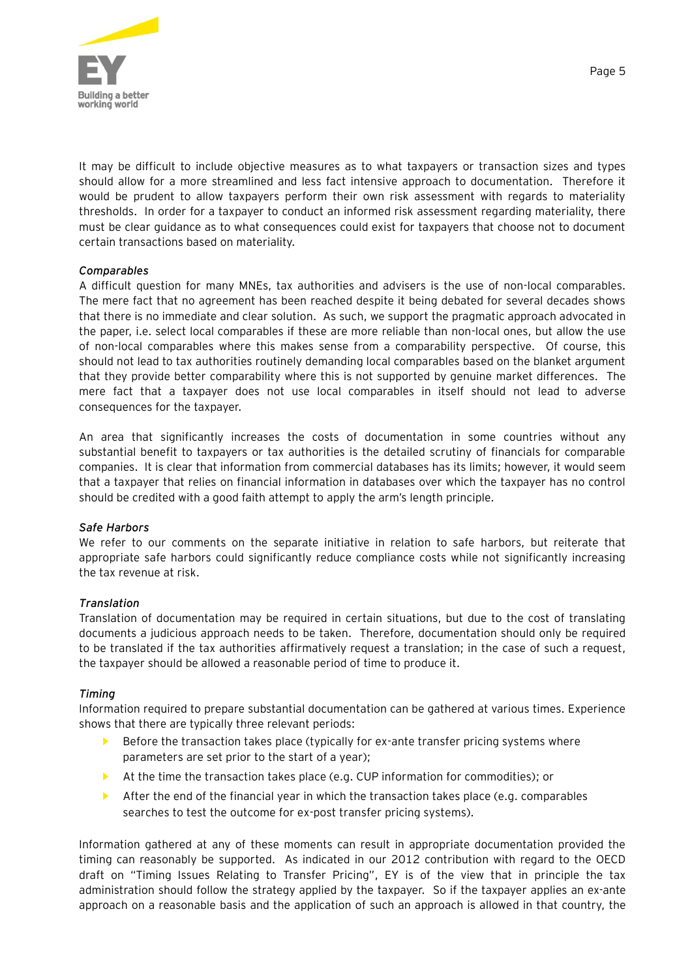

It may be difficult to include objective measures as to what taxpayers or transaction sizes and types should allow for a more streamlined and less fact intensive approach to documentation. Therefore it would be prudent to allow taxpayers perform their own risk assessment with regards to materiality thresholds. In order for a taxpayer to conduct an informed risk assessment regarding materiality, there must be clear guidance as to what consequences could exist for taxpayers that choose not to document certain transactions based on materiality.

### *Comparables*

A difficult question for many MNEs, tax authorities and advisers is the use of non-local comparables. The mere fact that no agreement has been reached despite it being debated for several decades shows that there is no immediate and clear solution. As such, we support the pragmatic approach advocated in the paper, i.e. select local comparables if these are more reliable than non-local ones, but allow the use of non-local comparables where this makes sense from a comparability perspective. Of course, this should not lead to tax authorities routinely demanding local comparables based on the blanket argument that they provide better comparability where this is not supported by genuine market differences. The mere fact that a taxpayer does not use local comparables in itself should not lead to adverse consequences for the taxpayer.

An area that significantly increases the costs of documentation in some countries without any substantial benefit to taxpayers or tax authorities is the detailed scrutiny of financials for comparable companies. It is clear that information from commercial databases has its limits; however, it would seem that a taxpayer that relies on financial information in databases over which the taxpayer has no control should be credited with a good faith attempt to apply the arm's length principle.

#### *Safe Harbors*

We refer to our comments on the separate initiative in relation to safe harbors, but reiterate that appropriate safe harbors could significantly reduce compliance costs while not significantly increasing the tax revenue at risk.

#### *Translation*

Translation of documentation may be required in certain situations, but due to the cost of translating documents a judicious approach needs to be taken. Therefore, documentation should only be required to be translated if the tax authorities affirmatively request a translation; in the case of such a request, the taxpayer should be allowed a reasonable period of time to produce it.

#### *Timing*

Information required to prepare substantial documentation can be gathered at various times. Experience shows that there are typically three relevant periods:

- Before the transaction takes place (typically for ex-ante transfer pricing systems where parameters are set prior to the start of a year);
- ► At the time the transaction takes place (e.g. CUP information for commodities); or
- ► After the end of the financial year in which the transaction takes place (e.g. comparables searches to test the outcome for ex-post transfer pricing systems).

Information gathered at any of these moments can result in appropriate documentation provided the timing can reasonably be supported. As indicated in our 2012 contribution with regard to the OECD draft on "Timing Issues Relating to Transfer Pricing", EY is of the view that in principle the tax administration should follow the strategy applied by the taxpayer. So if the taxpayer applies an ex-ante approach on a reasonable basis and the application of such an approach is allowed in that country, the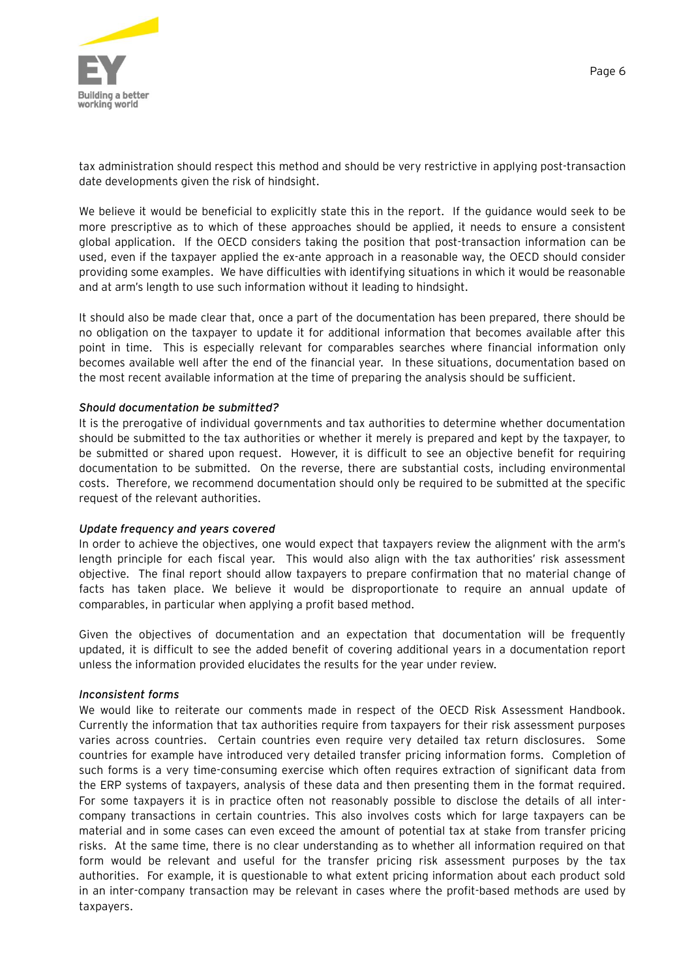

Page 6

tax administration should respect this method and should be very restrictive in applying post-transaction date developments given the risk of hindsight.

We believe it would be beneficial to explicitly state this in the report. If the guidance would seek to be more prescriptive as to which of these approaches should be applied, it needs to ensure a consistent global application. If the OECD considers taking the position that post-transaction information can be used, even if the taxpayer applied the ex-ante approach in a reasonable way, the OECD should consider providing some examples. We have difficulties with identifying situations in which it would be reasonable and at arm's length to use such information without it leading to hindsight.

It should also be made clear that, once a part of the documentation has been prepared, there should be no obligation on the taxpayer to update it for additional information that becomes available after this point in time. This is especially relevant for comparables searches where financial information only becomes available well after the end of the financial year. In these situations, documentation based on the most recent available information at the time of preparing the analysis should be sufficient.

#### *Should documentation be submitted?*

It is the prerogative of individual governments and tax authorities to determine whether documentation should be submitted to the tax authorities or whether it merely is prepared and kept by the taxpayer, to be submitted or shared upon request. However, it is difficult to see an objective benefit for requiring documentation to be submitted. On the reverse, there are substantial costs, including environmental costs. Therefore, we recommend documentation should only be required to be submitted at the specific request of the relevant authorities.

#### *Update frequency and years covered*

In order to achieve the objectives, one would expect that taxpayers review the alignment with the arm's length principle for each fiscal year. This would also align with the tax authorities' risk assessment objective. The final report should allow taxpayers to prepare confirmation that no material change of facts has taken place. We believe it would be disproportionate to require an annual update of comparables, in particular when applying a profit based method.

Given the objectives of documentation and an expectation that documentation will be frequently updated, it is difficult to see the added benefit of covering additional years in a documentation report unless the information provided elucidates the results for the year under review.

#### *Inconsistent forms*

We would like to reiterate our comments made in respect of the OECD Risk Assessment Handbook. Currently the information that tax authorities require from taxpayers for their risk assessment purposes varies across countries. Certain countries even require very detailed tax return disclosures. Some countries for example have introduced very detailed transfer pricing information forms. Completion of such forms is a very time-consuming exercise which often requires extraction of significant data from the ERP systems of taxpayers, analysis of these data and then presenting them in the format required. For some taxpayers it is in practice often not reasonably possible to disclose the details of all intercompany transactions in certain countries. This also involves costs which for large taxpayers can be material and in some cases can even exceed the amount of potential tax at stake from transfer pricing risks. At the same time, there is no clear understanding as to whether all information required on that form would be relevant and useful for the transfer pricing risk assessment purposes by the tax authorities. For example, it is questionable to what extent pricing information about each product sold in an inter-company transaction may be relevant in cases where the profit-based methods are used by taxpayers.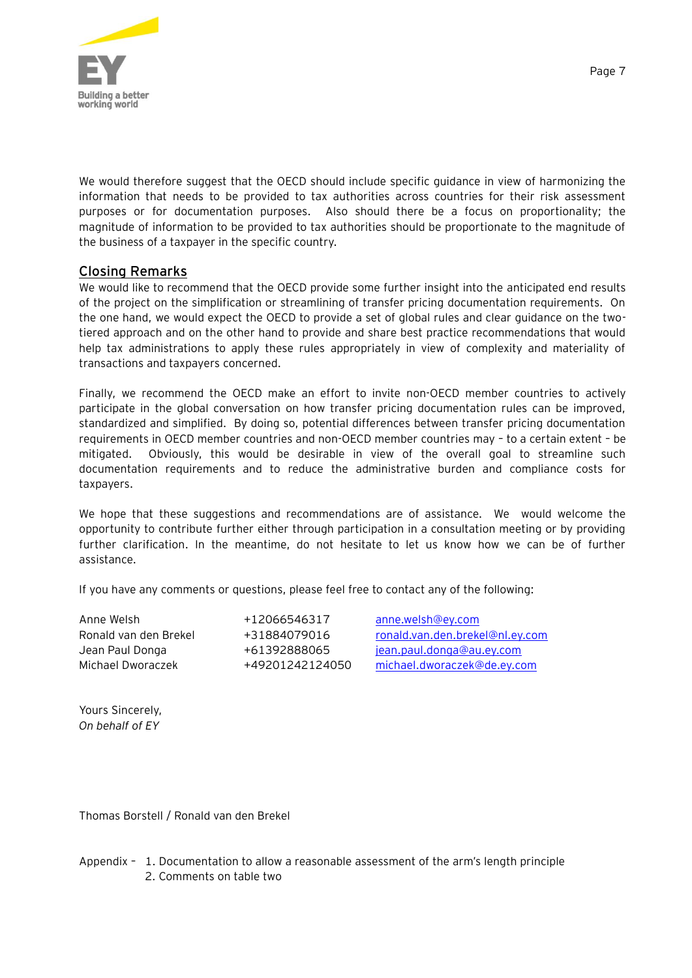

We would therefore suggest that the OECD should include specific guidance in view of harmonizing the information that needs to be provided to tax authorities across countries for their risk assessment purposes or for documentation purposes. Also should there be a focus on proportionality; the magnitude of information to be provided to tax authorities should be proportionate to the magnitude of the business of a taxpayer in the specific country.

## Closing Remarks

We would like to recommend that the OECD provide some further insight into the anticipated end results of the project on the simplification or streamlining of transfer pricing documentation requirements. On the one hand, we would expect the OECD to provide a set of global rules and clear guidance on the twotiered approach and on the other hand to provide and share best practice recommendations that would help tax administrations to apply these rules appropriately in view of complexity and materiality of transactions and taxpayers concerned.

Finally, we recommend the OECD make an effort to invite non-OECD member countries to actively participate in the global conversation on how transfer pricing documentation rules can be improved, standardized and simplified. By doing so, potential differences between transfer pricing documentation requirements in OECD member countries and non-OECD member countries may – to a certain extent – be mitigated. Obviously, this would be desirable in view of the overall goal to streamline such documentation requirements and to reduce the administrative burden and compliance costs for taxpayers.

We hope that these suggestions and recommendations are of assistance. We would welcome the opportunity to contribute further either through participation in a consultation meeting or by providing further clarification. In the meantime, do not hesitate to let us know how we can be of further assistance.

If you have any comments or questions, please feel free to contact any of the following:

Anne Welsh +12066546317 [anne.welsh@ey.com](mailto:anne.welsh@ey.com)

Ronald van den Brekel +31884079016 [ronald.van.den.brekel@nl.ey.com](mailto:ronald.van.den.brekel@nl.ey.com) Jean Paul Donga  $+61392888065$  [jean.paul.donga@au.ey.com](mailto:jean.paul.donga@au.ey.com) Michael Dworaczek +49201242124050 [michael.dworaczek@de.ey.com](mailto:michael.dworaczek@de.ey.com)

Yours Sincerely, *On behalf of EY*

Thomas Borstell / Ronald van den Brekel

Appendix – 1. Documentation to allow a reasonable assessment of the arm's length principle 2. Comments on table two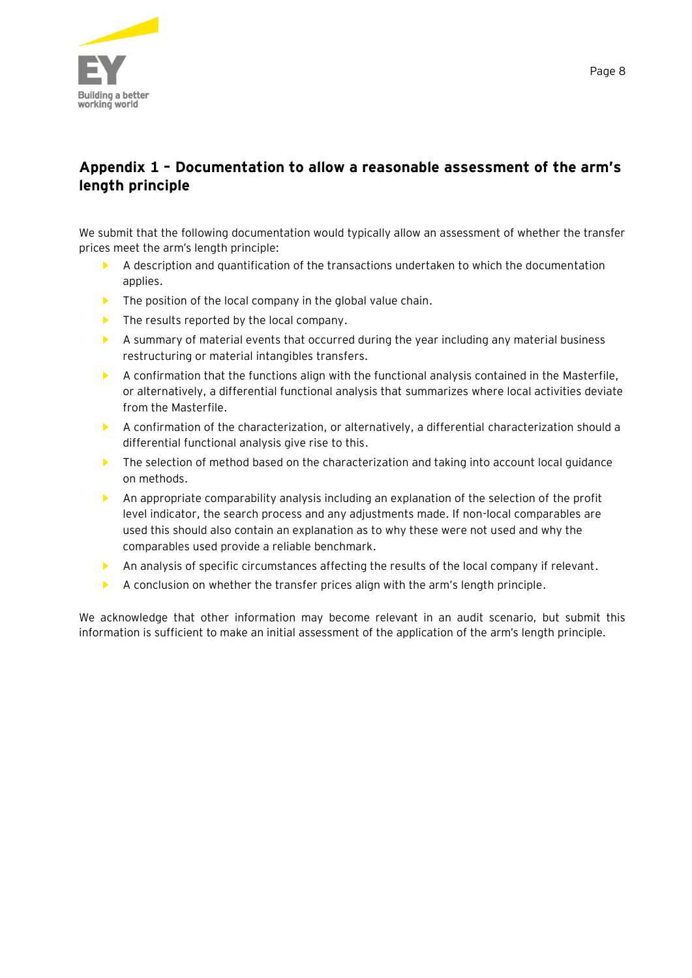

# **Appendix 1 – Documentation to allow a reasonable assessment of the arm's length principle**

We submit that the following documentation would typically allow an assessment of whether the transfer prices meet the arm's length principle:

- ► A description and quantification of the transactions undertaken to which the documentation applies.
- $\blacktriangleright$  The position of the local company in the global value chain.
- $\blacktriangleright$  The results reported by the local company.
- ► A summary of material events that occurred during the year including any material business restructuring or material intangibles transfers.
- ► A confirmation that the functions align with the functional analysis contained in the Masterfile, or alternatively, a differential functional analysis that summarizes where local activities deviate from the Masterfile.
- ► A confirmation of the characterization, or alternatively, a differential characterization should a differential functional analysis give rise to this.
- ► The selection of method based on the characterization and taking into account local guidance on methods.
- ► An appropriate comparability analysis including an explanation of the selection of the profit level indicator, the search process and any adjustments made. If non-local comparables are used this should also contain an explanation as to why these were not used and why the comparables used provide a reliable benchmark.
- ▶ An analysis of specific circumstances affecting the results of the local company if relevant.
- ▶ A conclusion on whether the transfer prices align with the arm's length principle.

We acknowledge that other information may become relevant in an audit scenario, but submit this information is sufficient to make an initial assessment of the application of the arm's length principle.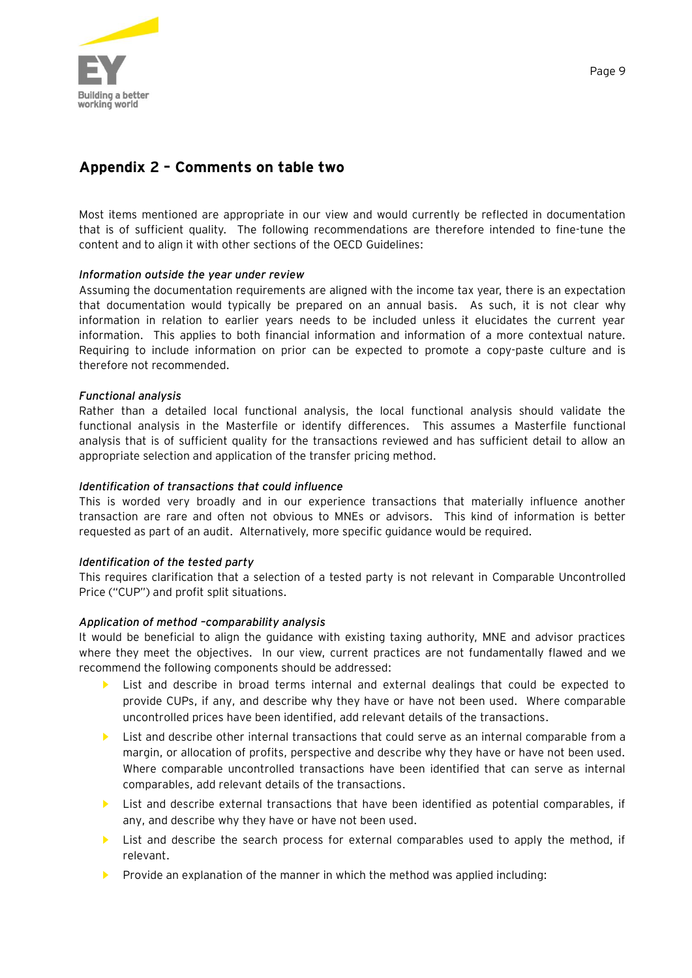

# **Appendix 2 – Comments on table two**

Most items mentioned are appropriate in our view and would currently be reflected in documentation that is of sufficient quality. The following recommendations are therefore intended to fine-tune the content and to align it with other sections of the OECD Guidelines:

#### *Information outside the year under review*

Assuming the documentation requirements are aligned with the income tax year, there is an expectation that documentation would typically be prepared on an annual basis. As such, it is not clear why information in relation to earlier years needs to be included unless it elucidates the current year information. This applies to both financial information and information of a more contextual nature. Requiring to include information on prior can be expected to promote a copy-paste culture and is therefore not recommended.

#### *Functional analysis*

Rather than a detailed local functional analysis, the local functional analysis should validate the functional analysis in the Masterfile or identify differences. This assumes a Masterfile functional analysis that is of sufficient quality for the transactions reviewed and has sufficient detail to allow an appropriate selection and application of the transfer pricing method.

### *Identification of transactions that could influence*

This is worded very broadly and in our experience transactions that materially influence another transaction are rare and often not obvious to MNEs or advisors. This kind of information is better requested as part of an audit. Alternatively, more specific guidance would be required.

#### *Identification of the tested party*

This requires clarification that a selection of a tested party is not relevant in Comparable Uncontrolled Price ("CUP") and profit split situations.

#### *Application of method –comparability analysis*

It would be beneficial to align the guidance with existing taxing authority, MNE and advisor practices where they meet the objectives. In our view, current practices are not fundamentally flawed and we recommend the following components should be addressed:

- List and describe in broad terms internal and external dealings that could be expected to provide CUPs, if any, and describe why they have or have not been used. Where comparable uncontrolled prices have been identified, add relevant details of the transactions.
- List and describe other internal transactions that could serve as an internal comparable from a margin, or allocation of profits, perspective and describe why they have or have not been used. Where comparable uncontrolled transactions have been identified that can serve as internal comparables, add relevant details of the transactions.
- ► List and describe external transactions that have been identified as potential comparables, if any, and describe why they have or have not been used.
- List and describe the search process for external comparables used to apply the method, if relevant.
- Provide an explanation of the manner in which the method was applied including: